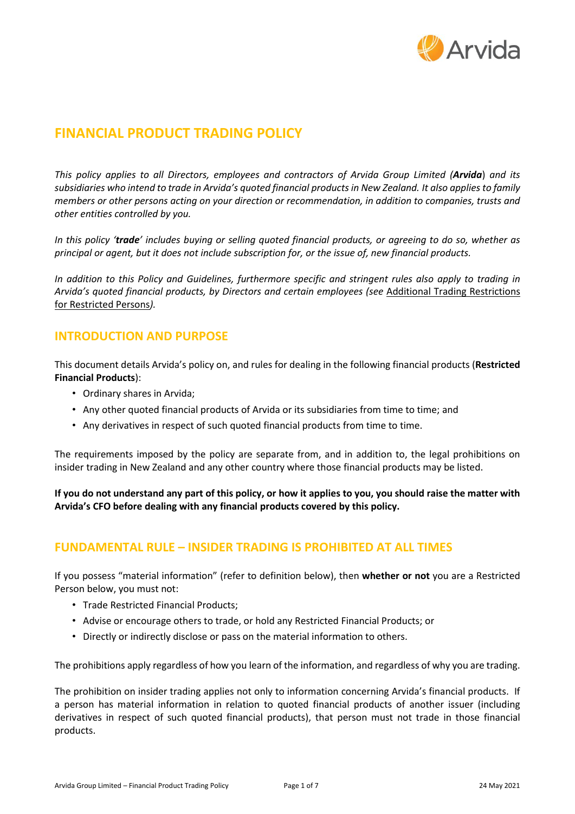

# **FINANCIAL PRODUCT TRADING POLICY**

*This policy applies to all Directors, employees and contractors of Arvida Group Limited (Arvida*) *and its* subsidiaries who intend to trade in Arvida's quoted financial products in New Zealand. It also applies to family *members or other persons acting on your direction or recommendation, in addition to companies, trusts and other entities controlled by you.* 

In this policy 'trade' includes buying or selling quoted financial products, or agreeing to do so, whether as *principal or agent, but it does not include subscription for, or the issue of, new financial products.*

In addition to this Policy and Guidelines, furthermore specific and stringent rules also apply to trading in *Arvida's quoted financial products, by Directors and certain employees (see* Additional Trading Restrictions for Restricted Persons*).*

# **INTRODUCTION AND PURPOSE**

This document details Arvida's policy on, and rules for dealing in the following financial products (**Restricted Financial Products**):

- Ordinary shares in Arvida;
- Any other quoted financial products of Arvida or its subsidiaries from time to time; and
- Any derivatives in respect of such quoted financial products from time to time.

The requirements imposed by the policy are separate from, and in addition to, the legal prohibitions on insider trading in New Zealand and any other country where those financial products may be listed.

If you do not understand any part of this policy, or how it applies to you, you should raise the matter with **Arvida's CFO before dealing with any financial products covered by this policy.**

# **FUNDAMENTAL RULE – INSIDER TRADING IS PROHIBITED AT ALL TIMES**

If you possess "material information" (refer to definition below), then **whether or not** you are a Restricted Person below, you must not:

- Trade Restricted Financial Products;
- Advise or encourage others to trade, or hold any Restricted Financial Products; or
- Directly or indirectly disclose or pass on the material information to others.

The prohibitions apply regardless of how you learn of the information, and regardless of why you are trading.

The prohibition on insider trading applies not only to information concerning Arvida's financial products. If a person has material information in relation to quoted financial products of another issuer (including derivatives in respect of such quoted financial products), that person must not trade in those financial products.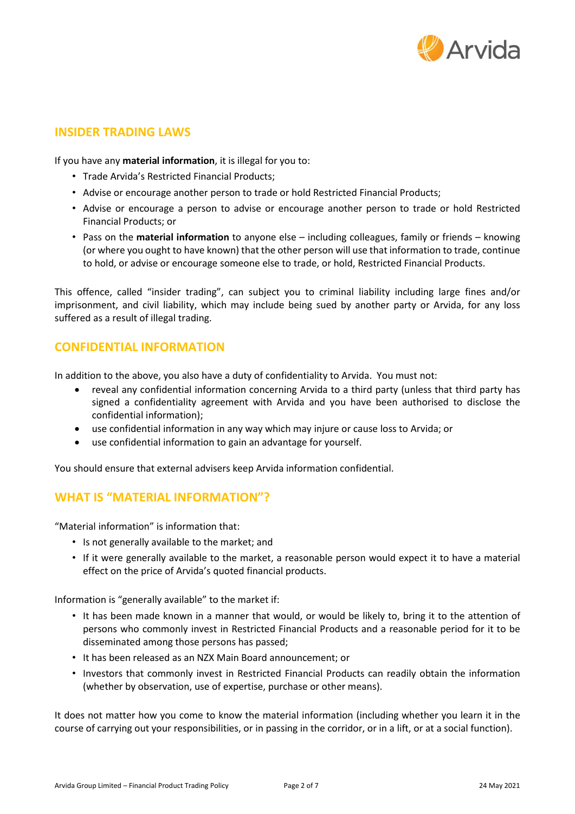

## **INSIDER TRADING LAWS**

If you have any **material information**, it is illegal for you to:

- Trade Arvida's Restricted Financial Products;
- Advise or encourage another person to trade or hold Restricted Financial Products;
- Advise or encourage a person to advise or encourage another person to trade or hold Restricted Financial Products; or
- Pass on the **material information** to anyone else including colleagues, family or friends knowing (or where you ought to have known) that the other person will use that information to trade, continue to hold, or advise or encourage someone else to trade, or hold, Restricted Financial Products.

This offence, called "insider trading", can subject you to criminal liability including large fines and/or imprisonment, and civil liability, which may include being sued by another party or Arvida, for any loss suffered as a result of illegal trading.

## **CONFIDENTIAL INFORMATION**

In addition to the above, you also have a duty of confidentiality to Arvida. You must not:

- reveal any confidential information concerning Arvida to a third party (unless that third party has signed a confidentiality agreement with Arvida and you have been authorised to disclose the confidential information);
- use confidential information in any way which may injure or cause loss to Arvida; or
- use confidential information to gain an advantage for yourself.

You should ensure that external advisers keep Arvida information confidential.

## **WHAT IS "MATERIAL INFORMATION"?**

"Material information" is information that:

- Is not generally available to the market; and
- If it were generally available to the market, a reasonable person would expect it to have a material effect on the price of Arvida's quoted financial products.

Information is "generally available" to the market if:

- It has been made known in a manner that would, or would be likely to, bring it to the attention of persons who commonly invest in Restricted Financial Products and a reasonable period for it to be disseminated among those persons has passed;
- It has been released as an NZX Main Board announcement; or
- Investors that commonly invest in Restricted Financial Products can readily obtain the information (whether by observation, use of expertise, purchase or other means).

It does not matter how you come to know the material information (including whether you learn it in the course of carrying out your responsibilities, or in passing in the corridor, or in a lift, or at a social function).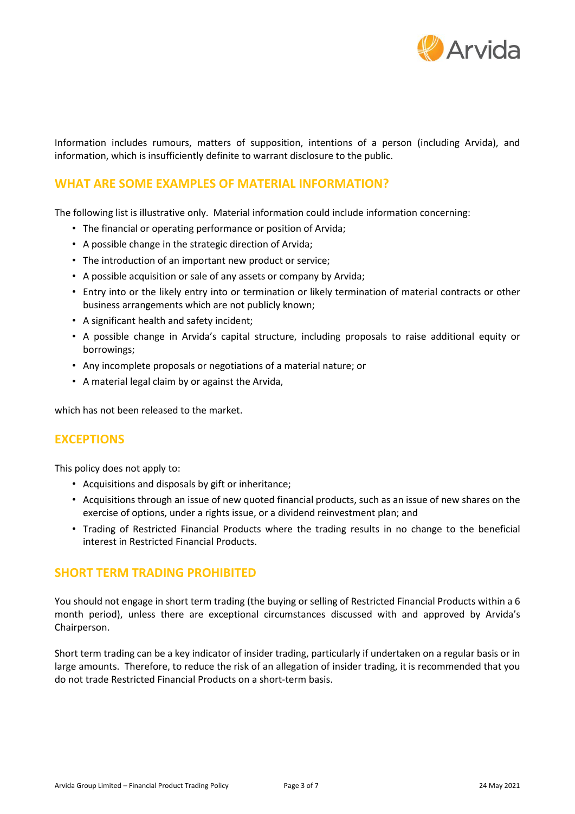

Information includes rumours, matters of supposition, intentions of a person (including Arvida), and information, which is insufficiently definite to warrant disclosure to the public.

# **WHAT ARE SOME EXAMPLES OF MATERIAL INFORMATION?**

The following list is illustrative only. Material information could include information concerning:

- The financial or operating performance or position of Arvida;
- A possible change in the strategic direction of Arvida;
- The introduction of an important new product or service;
- A possible acquisition or sale of any assets or company by Arvida;
- Entry into or the likely entry into or termination or likely termination of material contracts or other business arrangements which are not publicly known;
- A significant health and safety incident;
- A possible change in Arvida's capital structure, including proposals to raise additional equity or borrowings;
- Any incomplete proposals or negotiations of a material nature; or
- A material legal claim by or against the Arvida,

which has not been released to the market.

#### **EXCEPTIONS**

This policy does not apply to:

- Acquisitions and disposals by gift or inheritance;
- Acquisitions through an issue of new quoted financial products, such as an issue of new shares on the exercise of options, under a rights issue, or a dividend reinvestment plan; and
- Trading of Restricted Financial Products where the trading results in no change to the beneficial interest in Restricted Financial Products.

#### **SHORT TERM TRADING PROHIBITED**

You should not engage in short term trading (the buying or selling of Restricted Financial Products within a 6 month period), unless there are exceptional circumstances discussed with and approved by Arvida's Chairperson.

Short term trading can be a key indicator of insider trading, particularly if undertaken on a regular basis or in large amounts. Therefore, to reduce the risk of an allegation of insider trading, it is recommended that you do not trade Restricted Financial Products on a short-term basis.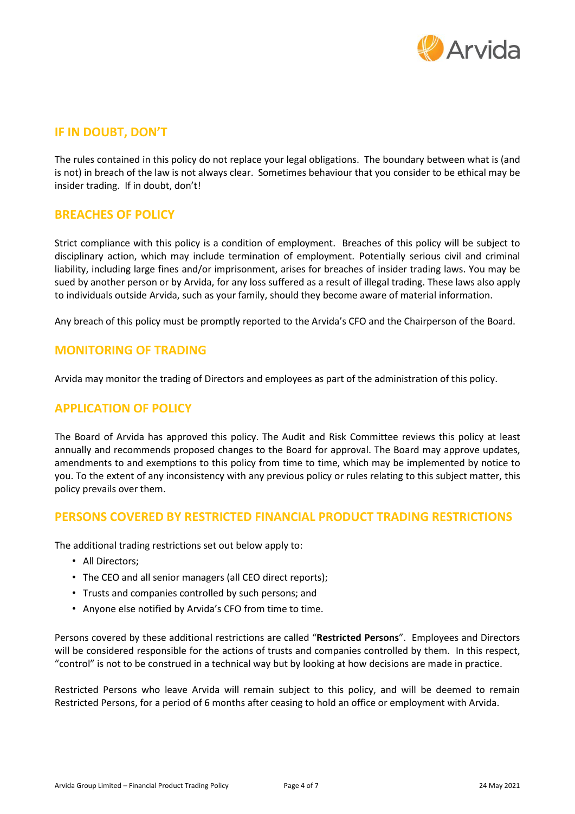

## **IF IN DOUBT, DON'T**

The rules contained in this policy do not replace your legal obligations. The boundary between what is (and is not) in breach of the law is not always clear. Sometimes behaviour that you consider to be ethical may be insider trading. If in doubt, don't!

### **BREACHES OF POLICY**

Strict compliance with this policy is a condition of employment. Breaches of this policy will be subject to disciplinary action, which may include termination of employment. Potentially serious civil and criminal liability, including large fines and/or imprisonment, arises for breaches of insider trading laws. You may be sued by another person or by Arvida, for any loss suffered as a result of illegal trading. These laws also apply to individuals outside Arvida, such as your family, should they become aware of material information.

Any breach of this policy must be promptly reported to the Arvida's CFO and the Chairperson of the Board.

### **MONITORING OF TRADING**

Arvida may monitor the trading of Directors and employees as part of the administration of this policy.

#### **APPLICATION OF POLICY**

The Board of Arvida has approved this policy. The Audit and Risk Committee reviews this policy at least annually and recommends proposed changes to the Board for approval. The Board may approve updates, amendments to and exemptions to this policy from time to time, which may be implemented by notice to you. To the extent of any inconsistency with any previous policy or rules relating to this subject matter, this policy prevails over them.

## **PERSONS COVERED BY RESTRICTED FINANCIAL PRODUCT TRADING RESTRICTIONS**

The additional trading restrictions set out below apply to:

- All Directors;
- The CEO and all senior managers (all CEO direct reports);
- Trusts and companies controlled by such persons; and
- Anyone else notified by Arvida's CFO from time to time.

Persons covered by these additional restrictions are called "**Restricted Persons**". Employees and Directors will be considered responsible for the actions of trusts and companies controlled by them. In this respect, "control" is not to be construed in a technical way but by looking at how decisions are made in practice.

Restricted Persons who leave Arvida will remain subject to this policy, and will be deemed to remain Restricted Persons, for a period of 6 months after ceasing to hold an office or employment with Arvida.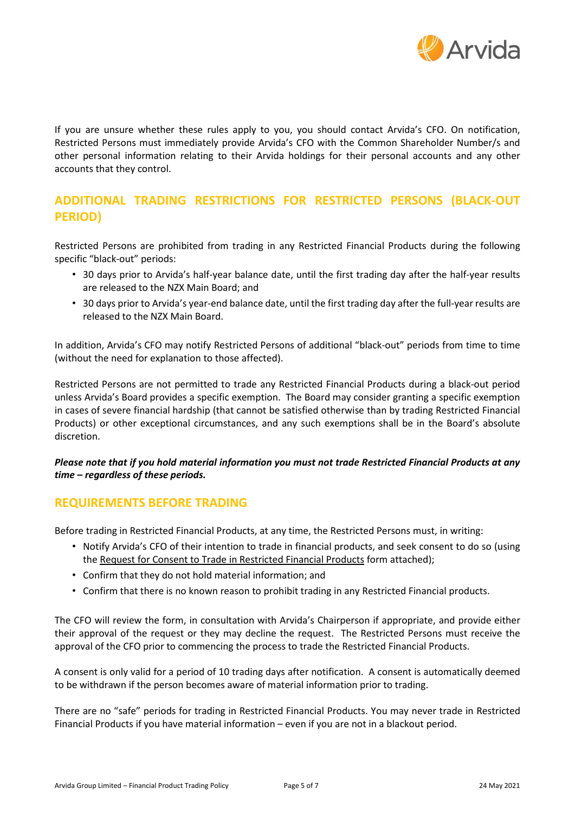

If you are unsure whether these rules apply to you, you should contact Arvida's CFO. On notification, Restricted Persons must immediately provide Arvida's CFO with the Common Shareholder Number/s and other personal information relating to their Arvida holdings for their personal accounts and any other accounts that they control.

# **ADDITIONAL TRADING RESTRICTIONS FOR RESTRICTED PERSONS (BLACK-OUT PERIOD)**

Restricted Persons are prohibited from trading in any Restricted Financial Products during the following specific "black-out" periods:

- 30 days prior to Arvida's half-year balance date, until the first trading day after the half-year results are released to the NZX Main Board; and
- 30 days prior to Arvida's year-end balance date, until the first trading day after the full-year results are released to the NZX Main Board.

In addition, Arvida's CFO may notify Restricted Persons of additional "black-out" periods from time to time (without the need for explanation to those affected).

Restricted Persons are not permitted to trade any Restricted Financial Products during a black-out period unless Arvida's Board provides a specific exemption. The Board may consider granting a specific exemption in cases of severe financial hardship (that cannot be satisfied otherwise than by trading Restricted Financial Products) or other exceptional circumstances, and any such exemptions shall be in the Board's absolute discretion.

#### *Please note that if you hold material information you must not trade Restricted Financial Products at any time – regardless of these periods.*

## **REQUIREMENTS BEFORE TRADING**

Before trading in Restricted Financial Products, at any time, the Restricted Persons must, in writing:

- Notify Arvida's CFO of their intention to trade in financial products, and seek consent to do so (using the Request for Consent to Trade in Restricted Financial Products form attached);
- Confirm that they do not hold material information; and
- Confirm that there is no known reason to prohibit trading in any Restricted Financial products.

The CFO will review the form, in consultation with Arvida's Chairperson if appropriate, and provide either their approval of the request or they may decline the request. The Restricted Persons must receive the approval of the CFO prior to commencing the process to trade the Restricted Financial Products.

A consent is only valid for a period of 10 trading days after notification. A consent is automatically deemed to be withdrawn if the person becomes aware of material information prior to trading.

There are no "safe" periods for trading in Restricted Financial Products. You may never trade in Restricted Financial Products if you have material information – even if you are not in a blackout period.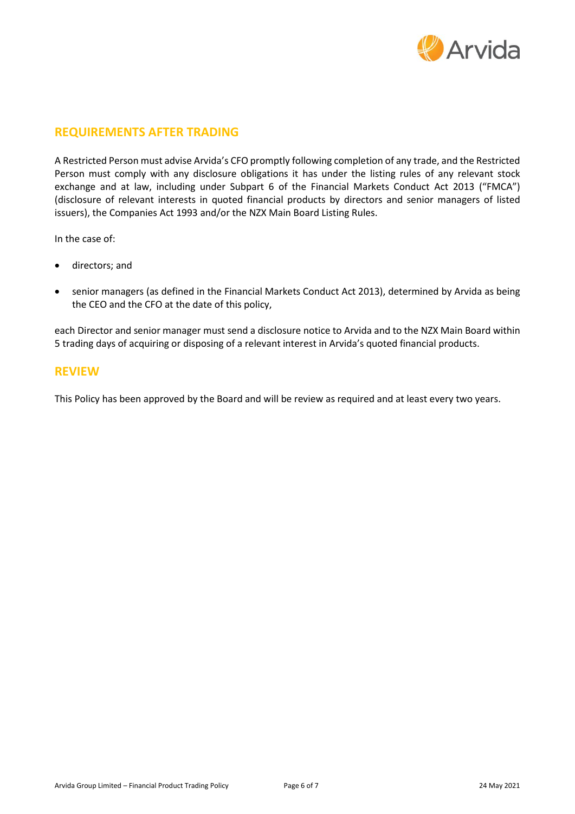

## **REQUIREMENTS AFTER TRADING**

A Restricted Person must advise Arvida's CFO promptly following completion of any trade, and the Restricted Person must comply with any disclosure obligations it has under the listing rules of any relevant stock exchange and at law, including under Subpart 6 of the Financial Markets Conduct Act 2013 ("FMCA") (disclosure of relevant interests in quoted financial products by directors and senior managers of listed issuers), the Companies Act 1993 and/or the NZX Main Board Listing Rules.

In the case of:

- directors; and
- senior managers (as defined in the Financial Markets Conduct Act 2013), determined by Arvida as being the CEO and the CFO at the date of this policy,

each Director and senior manager must send a disclosure notice to Arvida and to the NZX Main Board within 5 trading days of acquiring or disposing of a relevant interest in Arvida's quoted financial products.

#### **REVIEW**

This Policy has been approved by the Board and will be review as required and at least every two years.